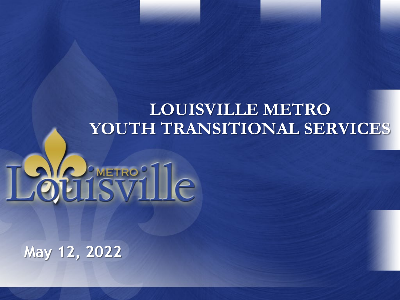#### **LOUISVILLE METRO YOUTH TRANSITIONAL SERVICES**

# Louisville

**May 12, 2022**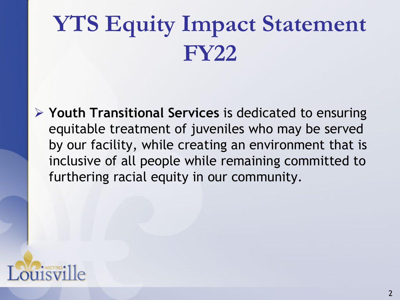# **YTS Equity Impact Statement FY22**

 **Youth Transitional Services** is dedicated to ensuring equitable treatment of juveniles who may be served by our facility, while creating an environment that is inclusive of all people while remaining committed to furthering racial equity in our community.

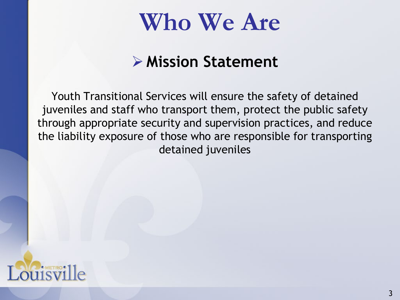### **Who We Are**

#### **Mission Statement**

Youth Transitional Services will ensure the safety of detained juveniles and staff who transport them, protect the public safety through appropriate security and supervision practices, and reduce the liability exposure of those who are responsible for transporting detained juveniles

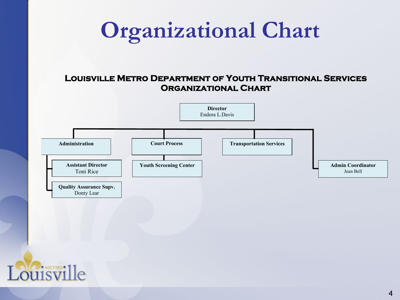### **Organizational Chart**

#### **Louisville Metro Department of Youth Transitional Services Organizational Chart**



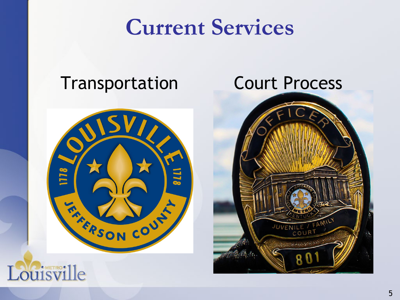#### **Current Services**

#### Transportation Court Process





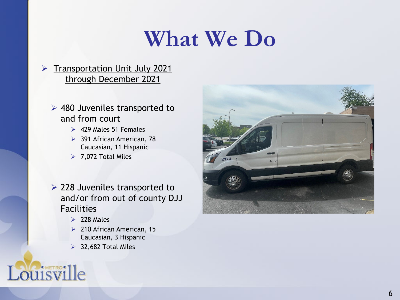### **What We Do**

#### > Transportation Unit July 2021 through December 2021

- 480 Juveniles transported to and from court
	- $\geq 429$  Males 51 Females
	- ▶ 391 African American, 78 Caucasian, 11 Hispanic
	- $\triangleright$  7,072 Total Miles
- $\geq$  228 Juveniles transported to and/or from out of county DJJ Facilities
	- $\geq$  228 Males
	- 210 African American, 15 Caucasian, 3 Hispanic
	- $\geq$  32,682 Total Miles

#### Louisville

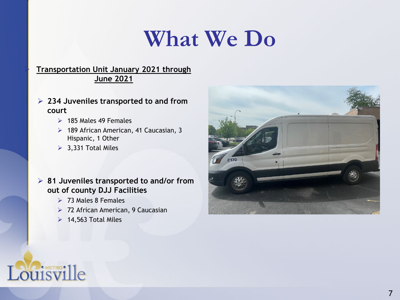### **What We Do**

#### **Transportation Unit January 2021 through June 2021**

- **234 Juveniles transported to and from court** 
	- $\geq$  185 Males 49 Females
	- ▶ 189 African American, 41 Caucasian, 3 Hispanic, 1 Other
	- $\geq$  3,331 Total Miles

 **81 Juveniles transported to and/or from out of county DJJ Facilities**

- $> 73$  Males 8 Females
- ▶ 72 African American, 9 Caucasian
- $\triangleright$  14,563 Total Miles



#### Louisville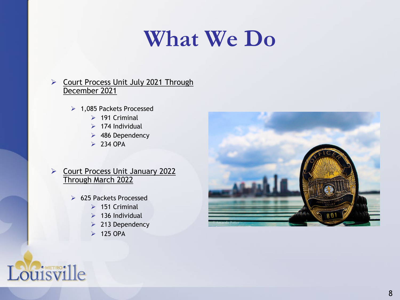### **What We Do**

#### ▶ Court Process Unit July 2021 Through December 2021

- ▶ 1,085 Packets Processed
	- $\geq$  191 Criminal
	- $\geq 174$  Individual
	- 486 Dependency
	- $\geq 234$  OPA

#### ▶ Court Process Unit January 2022 Through March 2022

- ▶ 625 Packets Processed
	- $\geq$  151 Criminal
	- $\geq$  136 Individual
	- $\geq 213$  Dependency
	- $\geq$  125 OPA



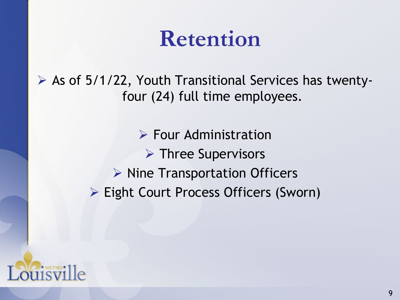#### **Retention**

 $\triangleright$  As of 5/1/22, Youth Transitional Services has twentyfour (24) full time employees.

> $\triangleright$  Four Administration  $\triangleright$  Three Supervisors  $\triangleright$  Nine Transportation Officers Eight Court Process Officers (Sworn)

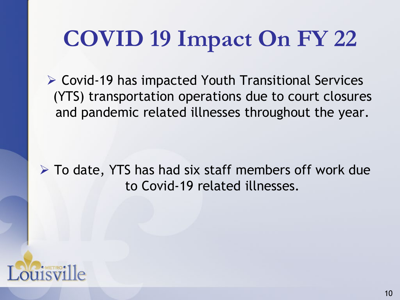# **COVID 19 Impact On FY 22**

 Covid-19 has impacted Youth Transitional Services (YTS) transportation operations due to court closures and pandemic related illnesses throughout the year.

 $\triangleright$  To date, YTS has had six staff members off work due to Covid-19 related illnesses.

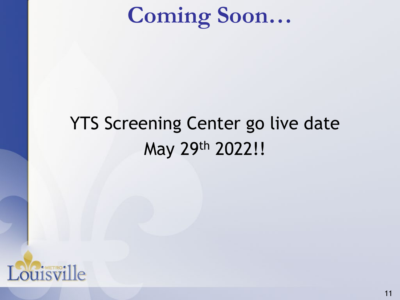# **Coming Soon…**

#### YTS Screening Center go live date May 29th 2022!!